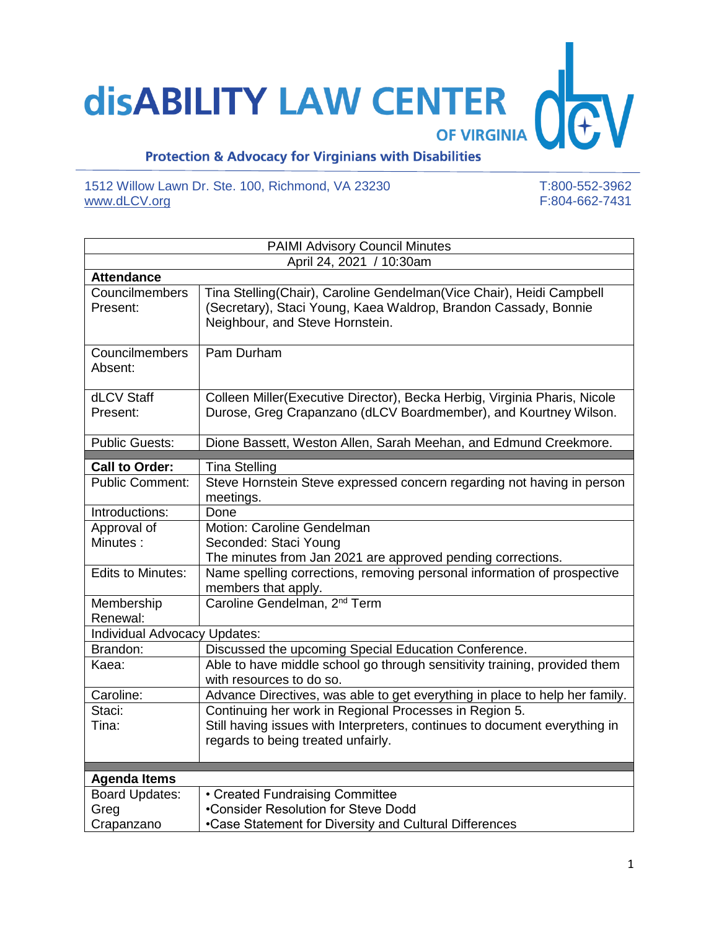## **disABILITY LAW CENTER**  $\bigvee$ **OF VIRGINIA**

## **Protection & Advocacy for Virginians with Disabilities**

1512 Willow Lawn Dr. Ste. 100, Richmond, VA 23230 T:800-552-3962<br>www.dLCV.org F:804-662-7431 [www.dLCV.org](http://www.dlcv.org/)

| <b>PAIMI Advisory Council Minutes</b> |                                                                                                                                                                            |  |
|---------------------------------------|----------------------------------------------------------------------------------------------------------------------------------------------------------------------------|--|
| April 24, 2021 / 10:30am              |                                                                                                                                                                            |  |
| <b>Attendance</b>                     |                                                                                                                                                                            |  |
| Councilmembers<br>Present:            | Tina Stelling(Chair), Caroline Gendelman(Vice Chair), Heidi Campbell<br>(Secretary), Staci Young, Kaea Waldrop, Brandon Cassady, Bonnie<br>Neighbour, and Steve Hornstein. |  |
| Councilmembers<br>Absent:             | Pam Durham                                                                                                                                                                 |  |
| dLCV Staff<br>Present:                | Colleen Miller (Executive Director), Becka Herbig, Virginia Pharis, Nicole<br>Durose, Greg Crapanzano (dLCV Boardmember), and Kourtney Wilson.                             |  |
| <b>Public Guests:</b>                 | Dione Bassett, Weston Allen, Sarah Meehan, and Edmund Creekmore.                                                                                                           |  |
| <b>Call to Order:</b>                 | <b>Tina Stelling</b>                                                                                                                                                       |  |
| <b>Public Comment:</b>                | Steve Hornstein Steve expressed concern regarding not having in person<br>meetings.                                                                                        |  |
| Introductions:                        | Done                                                                                                                                                                       |  |
| Approval of<br>Minutes:               | Motion: Caroline Gendelman<br>Seconded: Staci Young<br>The minutes from Jan 2021 are approved pending corrections.                                                         |  |
| <b>Edits to Minutes:</b>              | Name spelling corrections, removing personal information of prospective<br>members that apply.                                                                             |  |
| Membership<br>Renewal:                | Caroline Gendelman, 2 <sup>nd</sup> Term                                                                                                                                   |  |
| Individual Advocacy Updates:          |                                                                                                                                                                            |  |
| Brandon:                              | Discussed the upcoming Special Education Conference.                                                                                                                       |  |
| Kaea:                                 | Able to have middle school go through sensitivity training, provided them<br>with resources to do so.                                                                      |  |
| Caroline:                             | Advance Directives, was able to get everything in place to help her family.                                                                                                |  |
| Staci:<br>Tina:                       | Continuing her work in Regional Processes in Region 5.<br>Still having issues with Interpreters, continues to document everything in<br>regards to being treated unfairly. |  |
| <b>Agenda Items</b>                   |                                                                                                                                                                            |  |
| <b>Board Updates:</b>                 | • Created Fundraising Committee                                                                                                                                            |  |
| Greg                                  | •Consider Resolution for Steve Dodd                                                                                                                                        |  |
| Crapanzano                            | •Case Statement for Diversity and Cultural Differences                                                                                                                     |  |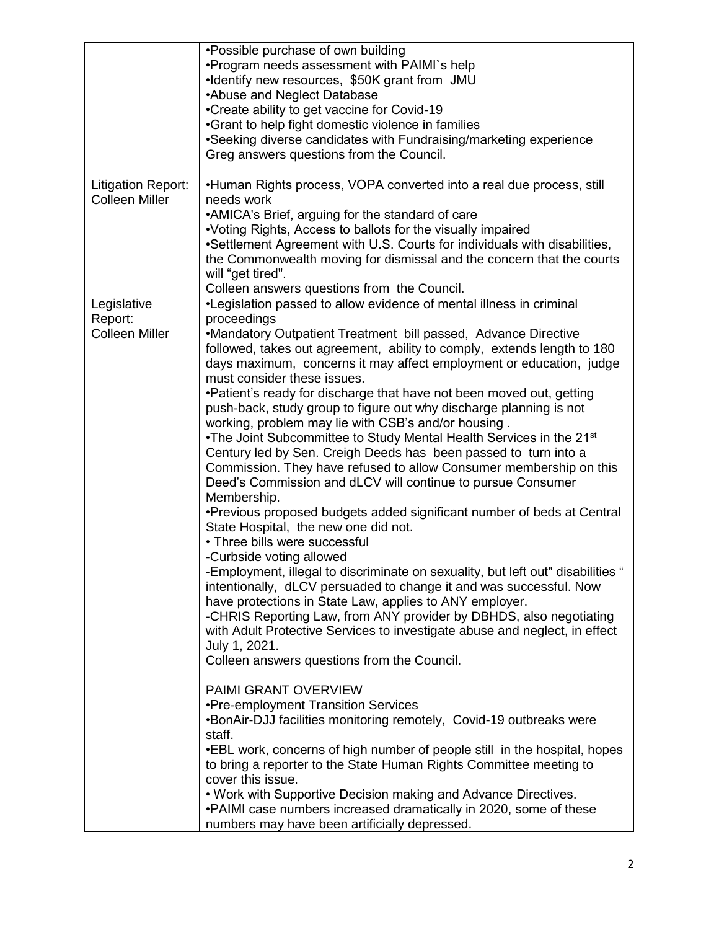| <b>Litigation Report:</b>                       | •Possible purchase of own building<br>. Program needs assessment with PAIMI's help<br>•Identify new resources, \$50K grant from JMU<br>•Abuse and Neglect Database<br>•Create ability to get vaccine for Covid-19<br>•Grant to help fight domestic violence in families<br>•Seeking diverse candidates with Fundraising/marketing experience<br>Greg answers questions from the Council.<br>•Human Rights process, VOPA converted into a real due process, still                                                                                                                                                                                                                                                                                                                                                                                                                                                                                                                                                                                                                                                                                                                                                                                                                                                                                                                                                                                                                                                                                                                                                                                                                                                                                                                    |
|-------------------------------------------------|-------------------------------------------------------------------------------------------------------------------------------------------------------------------------------------------------------------------------------------------------------------------------------------------------------------------------------------------------------------------------------------------------------------------------------------------------------------------------------------------------------------------------------------------------------------------------------------------------------------------------------------------------------------------------------------------------------------------------------------------------------------------------------------------------------------------------------------------------------------------------------------------------------------------------------------------------------------------------------------------------------------------------------------------------------------------------------------------------------------------------------------------------------------------------------------------------------------------------------------------------------------------------------------------------------------------------------------------------------------------------------------------------------------------------------------------------------------------------------------------------------------------------------------------------------------------------------------------------------------------------------------------------------------------------------------------------------------------------------------------------------------------------------------|
| <b>Colleen Miller</b>                           | needs work<br>• AMICA's Brief, arguing for the standard of care<br>•Voting Rights, Access to ballots for the visually impaired<br>•Settlement Agreement with U.S. Courts for individuals with disabilities,<br>the Commonwealth moving for dismissal and the concern that the courts<br>will "get tired".<br>Colleen answers questions from the Council.                                                                                                                                                                                                                                                                                                                                                                                                                                                                                                                                                                                                                                                                                                                                                                                                                                                                                                                                                                                                                                                                                                                                                                                                                                                                                                                                                                                                                            |
| Legislative<br>Report:<br><b>Colleen Miller</b> | •Legislation passed to allow evidence of mental illness in criminal<br>proceedings<br>•Mandatory Outpatient Treatment bill passed, Advance Directive<br>followed, takes out agreement, ability to comply, extends length to 180<br>days maximum, concerns it may affect employment or education, judge<br>must consider these issues.<br>•Patient's ready for discharge that have not been moved out, getting<br>push-back, study group to figure out why discharge planning is not<br>working, problem may lie with CSB's and/or housing.<br>•The Joint Subcommittee to Study Mental Health Services in the 21 <sup>st</sup><br>Century led by Sen. Creigh Deeds has been passed to turn into a<br>Commission. They have refused to allow Consumer membership on this<br>Deed's Commission and dLCV will continue to pursue Consumer<br>Membership.<br>•Previous proposed budgets added significant number of beds at Central<br>State Hospital, the new one did not.<br>• Three bills were successful<br>-Curbside voting allowed<br>-Employment, illegal to discriminate on sexuality, but left out" disabilities<br>intentionally, dLCV persuaded to change it and was successful. Now<br>have protections in State Law, applies to ANY employer.<br>-CHRIS Reporting Law, from ANY provider by DBHDS, also negotiating<br>with Adult Protective Services to investigate abuse and neglect, in effect<br>July 1, 2021.<br>Colleen answers questions from the Council.<br><b>PAIMI GRANT OVERVIEW</b><br>•Pre-employment Transition Services<br>.BonAir-DJJ facilities monitoring remotely, Covid-19 outbreaks were<br>staff.<br>.EBL work, concerns of high number of people still in the hospital, hopes<br>to bring a reporter to the State Human Rights Committee meeting to |
|                                                 | cover this issue.<br>. Work with Supportive Decision making and Advance Directives.<br>. PAIMI case numbers increased dramatically in 2020, some of these<br>numbers may have been artificially depressed.                                                                                                                                                                                                                                                                                                                                                                                                                                                                                                                                                                                                                                                                                                                                                                                                                                                                                                                                                                                                                                                                                                                                                                                                                                                                                                                                                                                                                                                                                                                                                                          |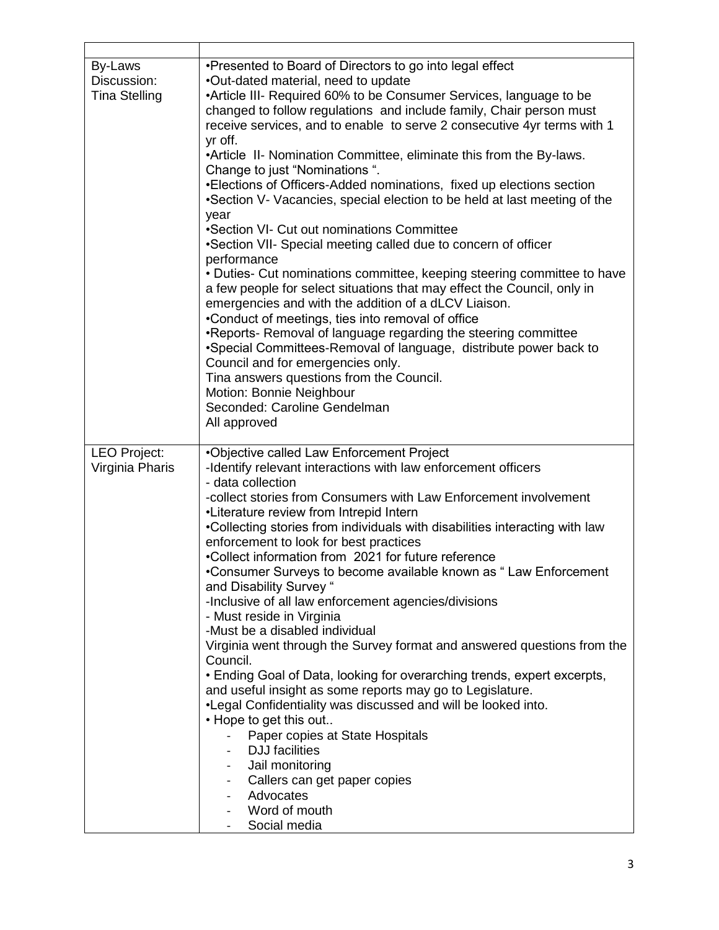| By-Laws<br>Discussion:<br><b>Tina Stelling</b> | •Presented to Board of Directors to go into legal effect<br>.Out-dated material, need to update<br>•Article III- Required 60% to be Consumer Services, language to be<br>changed to follow regulations and include family, Chair person must<br>receive services, and to enable to serve 2 consecutive 4yr terms with 1<br>yr off.<br>•Article II- Nomination Committee, eliminate this from the By-laws.<br>Change to just "Nominations".<br>•Elections of Officers-Added nominations, fixed up elections section<br>•Section V- Vacancies, special election to be held at last meeting of the<br>year<br>•Section VI- Cut out nominations Committee<br>•Section VII- Special meeting called due to concern of officer<br>performance<br>• Duties- Cut nominations committee, keeping steering committee to have<br>a few people for select situations that may effect the Council, only in<br>emergencies and with the addition of a dLCV Liaison.<br>•Conduct of meetings, ties into removal of office<br>•Reports- Removal of language regarding the steering committee<br>•Special Committees-Removal of language, distribute power back to<br>Council and for emergencies only.<br>Tina answers questions from the Council.<br>Motion: Bonnie Neighbour<br>Seconded: Caroline Gendelman<br>All approved |
|------------------------------------------------|---------------------------------------------------------------------------------------------------------------------------------------------------------------------------------------------------------------------------------------------------------------------------------------------------------------------------------------------------------------------------------------------------------------------------------------------------------------------------------------------------------------------------------------------------------------------------------------------------------------------------------------------------------------------------------------------------------------------------------------------------------------------------------------------------------------------------------------------------------------------------------------------------------------------------------------------------------------------------------------------------------------------------------------------------------------------------------------------------------------------------------------------------------------------------------------------------------------------------------------------------------------------------------------------------------------|
| <b>LEO Project:</b><br>Virginia Pharis         | •Objective called Law Enforcement Project<br>-Identify relevant interactions with law enforcement officers<br>- data collection<br>-collect stories from Consumers with Law Enforcement involvement<br>•Literature review from Intrepid Intern<br>.Collecting stories from individuals with disabilities interacting with law<br>enforcement to look for best practices<br>•Collect information from 2021 for future reference<br>Consumer Surveys to become available known as "Law Enforcement<br>and Disability Survey "<br>-Inclusive of all law enforcement agencies/divisions<br>- Must reside in Virginia<br>-Must be a disabled individual<br>Virginia went through the Survey format and answered questions from the<br>Council.<br>• Ending Goal of Data, looking for overarching trends, expert excerpts,<br>and useful insight as some reports may go to Legislature.<br>. Legal Confidentiality was discussed and will be looked into.<br>• Hope to get this out<br>Paper copies at State Hospitals<br><b>DJJ</b> facilities<br>Jail monitoring<br>Callers can get paper copies<br>Advocates<br>Word of mouth<br>Social media                                                                                                                                                                    |